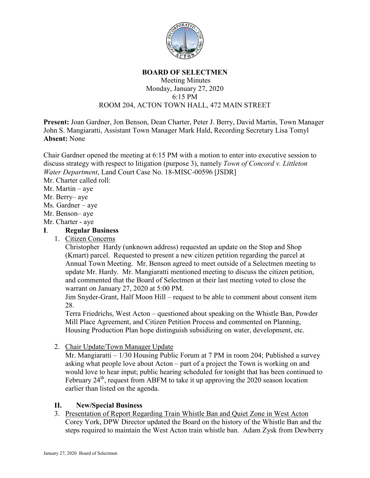

#### **BOARD OF SELECTMEN**

### Meeting Minutes Monday, January 27, 2020 6:15 PM ROOM 204, ACTON TOWN HALL, 472 MAIN STREET

**Present:** Joan Gardner, Jon Benson, Dean Charter, Peter J. Berry, David Martin, Town Manager John S. Mangiaratti, Assistant Town Manager Mark Hald, Recording Secretary Lisa Tomyl **Absent:** None

Chair Gardner opened the meeting at 6:15 PM with a motion to enter into executive session to discuss strategy with respect to litigation (purpose 3), namely *Town of Concord v. Littleton Water Department*, Land Court Case No. 18-MISC-00596 [JSDR]

Mr. Charter called roll:

Mr. Martin – aye

Mr. Berry– aye

- Ms. Gardner aye
- Mr. Benson– aye
- Mr. Charter aye

# **I**. **Regular Business**

1. Citizen Concerns

Christopher Hardy (unknown address) requested an update on the Stop and Shop (Kmart) parcel. Requested to present a new citizen petition regarding the parcel at Annual Town Meeting. Mr. Benson agreed to meet outside of a Selectmen meeting to update Mr. Hardy. Mr. Mangiaratti mentioned meeting to discuss the citizen petition, and commented that the Board of Selectmen at their last meeting voted to close the warrant on January 27, 2020 at 5:00 PM.

Jim Snyder-Grant, Half Moon Hill – request to be able to comment about consent item 28.

Terra Friedrichs, West Acton – questioned about speaking on the Whistle Ban, Powder Mill Place Agreement, and Citizen Petition Process and commented on Planning, Housing Production Plan hope distinguish subsidizing on water, development, etc.

2. Chair Update/Town Manager Update

Mr. Mangiaratti – 1/30 Housing Public Forum at 7 PM in room 204; Published a survey asking what people love about Acton – part of a project the Town is working on and would love to hear input; public hearing scheduled for tonight that has been continued to February  $24<sup>th</sup>$ , request from ABFM to take it up approving the 2020 season location earlier than listed on the agenda.

## **II. New/Special Business**

3. Presentation of Report Regarding Train Whistle Ban and Quiet Zone in West Acton Corey York, DPW Director updated the Board on the history of the Whistle Ban and the steps required to maintain the West Acton train whistle ban. Adam Zysk from Dewberry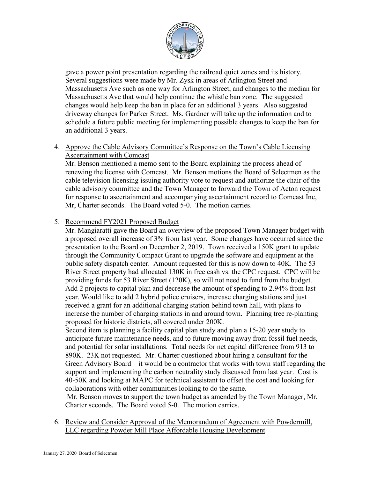

gave a power point presentation regarding the railroad quiet zones and its history. Several suggestions were made by Mr. Zysk in areas of Arlington Street and Massachusetts Ave such as one way for Arlington Street, and changes to the median for Massachusetts Ave that would help continue the whistle ban zone. The suggested changes would help keep the ban in place for an additional 3 years. Also suggested driveway changes for Parker Street. Ms. Gardner will take up the information and to schedule a future public meeting for implementing possible changes to keep the ban for an additional 3 years.

## 4. Approve the Cable Advisory Committee's Response on the Town's Cable Licensing Ascertainment with Comcast

Mr. Benson mentioned a memo sent to the Board explaining the process ahead of renewing the license with Comcast. Mr. Benson motions the Board of Selectmen as the cable television licensing issuing authority vote to request and authorize the chair of the cable advisory committee and the Town Manager to forward the Town of Acton request for response to ascertainment and accompanying ascertainment record to Comcast Inc, Mr, Charter seconds. The Board voted 5-0. The motion carries.

## 5. Recommend FY2021 Proposed Budget

Mr. Mangiaratti gave the Board an overview of the proposed Town Manager budget with a proposed overall increase of 3% from last year. Some changes have occurred since the presentation to the Board on December 2, 2019. Town received a 150K grant to update through the Community Compact Grant to upgrade the software and equipment at the public safety dispatch center. Amount requested for this is now down to 40K. The 53 River Street property had allocated 130K in free cash vs. the CPC request. CPC will be providing funds for 53 River Street (120K), so will not need to fund from the budget. Add 2 projects to capital plan and decrease the amount of spending to 2.94% from last year. Would like to add 2 hybrid police cruisers, increase charging stations and just received a grant for an additional charging station behind town hall, with plans to increase the number of charging stations in and around town. Planning tree re-planting proposed for historic districts, all covered under 200K.

Second item is planning a facility capital plan study and plan a 15-20 year study to anticipate future maintenance needs, and to future moving away from fossil fuel needs, and potential for solar installations. Total needs for net capital difference from 913 to 890K. 23K not requested. Mr. Charter questioned about hiring a consultant for the Green Advisory Board – it would be a contractor that works with town staff regarding the support and implementing the carbon neutrality study discussed from last year. Cost is 40-50K and looking at MAPC for technical assistant to offset the cost and looking for collaborations with other communities looking to do the same.

Mr. Benson moves to support the town budget as amended by the Town Manager, Mr. Charter seconds. The Board voted 5-0. The motion carries.

6. Review and Consider Approval of the Memorandum of Agreement with Powdermill, LLC regarding Powder Mill Place Affordable Housing Development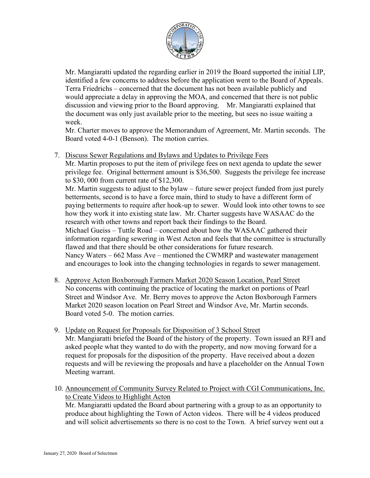

Mr. Mangiaratti updated the regarding earlier in 2019 the Board supported the initial LIP, identified a few concerns to address before the application went to the Board of Appeals. Terra Friedrichs – concerned that the document has not been available publicly and would appreciate a delay in approving the MOA, and concerned that there is not public discussion and viewing prior to the Board approving. Mr. Mangiaratti explained that the document was only just available prior to the meeting, but sees no issue waiting a week.

Mr. Charter moves to approve the Memorandum of Agreement, Mr. Martin seconds. The Board voted 4-0-1 (Benson). The motion carries.

7. Discuss Sewer Regulations and Bylaws and Updates to Privilege Fees

Mr. Martin proposes to put the item of privilege fees on next agenda to update the sewer privilege fee. Original betterment amount is \$36,500. Suggests the privilege fee increase to \$30, 000 from current rate of \$12,300.

Mr. Martin suggests to adjust to the bylaw – future sewer project funded from just purely betterments, second is to have a force main, third to study to have a different form of paying betterments to require after hook-up to sewer. Would look into other towns to see how they work it into existing state law. Mr. Charter suggests have WASAAC do the research with other towns and report back their findings to the Board.

Michael Gueiss – Tuttle Road – concerned about how the WASAAC gathered their information regarding sewering in West Acton and feels that the committee is structurally flawed and that there should be other considerations for future research. Nancy Waters – 662 Mass Ave – mentioned the CWMRP and wastewater management

and encourages to look into the changing technologies in regards to sewer management.

- 8. Approve Acton Boxborough Farmers Market 2020 Season Location, Pearl Street No concerns with continuing the practice of locating the market on portions of Pearl Street and Windsor Ave. Mr. Berry moves to approve the Acton Boxborough Farmers Market 2020 season location on Pearl Street and Windsor Ave, Mr. Martin seconds. Board voted 5-0. The motion carries.
- 9. Update on Request for Proposals for Disposition of 3 School Street Mr. Mangiaratti briefed the Board of the history of the property. Town issued an RFI and asked people what they wanted to do with the property, and now moving forward for a request for proposals for the disposition of the property. Have received about a dozen requests and will be reviewing the proposals and have a placeholder on the Annual Town Meeting warrant.
- 10. Announcement of Community Survey Related to Project with CGI Communications, Inc. to Create Videos to Highlight Acton

Mr. Mangiaratti updated the Board about partnering with a group to as an opportunity to produce about highlighting the Town of Acton videos. There will be 4 videos produced and will solicit advertisements so there is no cost to the Town. A brief survey went out a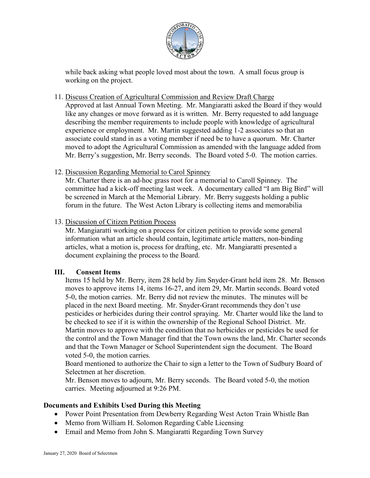

while back asking what people loved most about the town. A small focus group is working on the project.

### 11. Discuss Creation of Agricultural Commission and Review Draft Charge

Approved at last Annual Town Meeting. Mr. Mangiaratti asked the Board if they would like any changes or move forward as it is written. Mr. Berry requested to add language describing the member requirements to include people with knowledge of agricultural experience or employment. Mr. Martin suggested adding 1-2 associates so that an associate could stand in as a voting member if need be to have a quorum. Mr. Charter moved to adopt the Agricultural Commission as amended with the language added from Mr. Berry's suggestion, Mr. Berry seconds. The Board voted 5-0. The motion carries.

## 12. Discussion Regarding Memorial to Carol Spinney

Mr. Charter there is an ad-hoc grass root for a memorial to Caroll Spinney. The committee had a kick-off meeting last week. A documentary called "I am Big Bird" will be screened in March at the Memorial Library. Mr. Berry suggests holding a public forum in the future. The West Acton Library is collecting items and memorabilia

## 13. Discussion of Citizen Petition Process

Mr. Mangiaratti working on a process for citizen petition to provide some general information what an article should contain, legitimate article matters, non-binding articles, what a motion is, process for drafting, etc. Mr. Mangiaratti presented a document explaining the process to the Board.

## **III. Consent Items**

Items 15 held by Mr. Berry, item 28 held by Jim Snyder-Grant held item 28. Mr. Benson moves to approve items 14, items 16-27, and item 29, Mr. Martin seconds. Board voted 5-0, the motion carries. Mr. Berry did not review the minutes. The minutes will be placed in the next Board meeting. Mr. Snyder-Grant recommends they don't use pesticides or herbicides during their control spraying. Mr. Charter would like the land to be checked to see if it is within the ownership of the Regional School District. Mr. Martin moves to approve with the condition that no herbicides or pesticides be used for the control and the Town Manager find that the Town owns the land, Mr. Charter seconds and that the Town Manager or School Superintendent sign the document. The Board voted 5-0, the motion carries.

Board mentioned to authorize the Chair to sign a letter to the Town of Sudbury Board of Selectmen at her discretion.

Mr. Benson moves to adjourn, Mr. Berry seconds. The Board voted 5-0, the motion carries. Meeting adjourned at 9:26 PM.

## **Documents and Exhibits Used During this Meeting**

- Power Point Presentation from Dewberry Regarding West Acton Train Whistle Ban
- Memo from William H. Solomon Regarding Cable Licensing
- Email and Memo from John S. Mangiaratti Regarding Town Survey